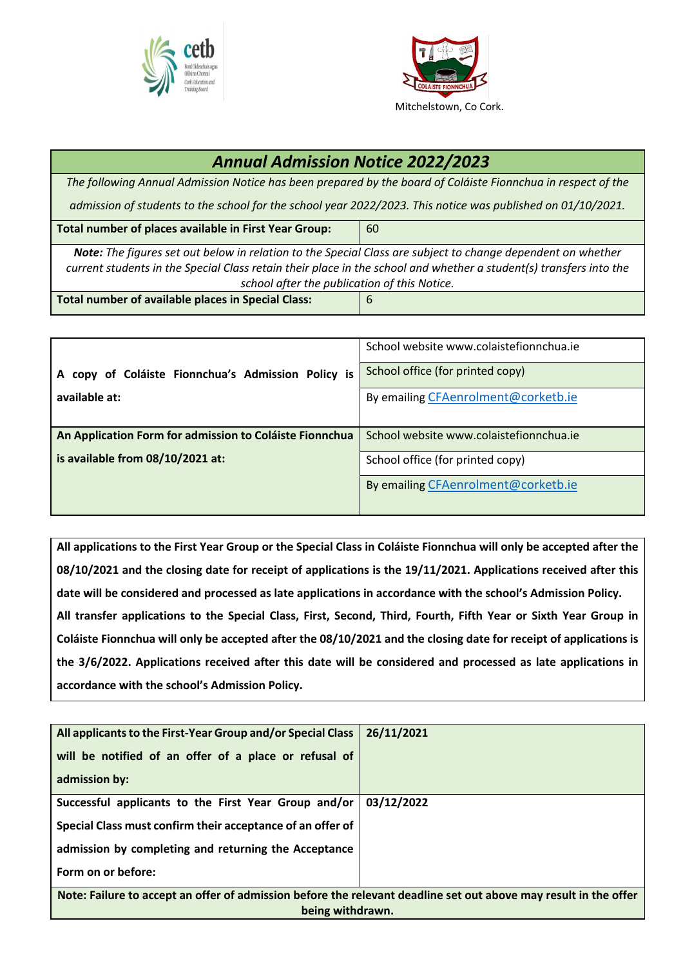



## *Annual Admission Notice 2022/2023 The following Annual Admission Notice has been prepared by the board of Coláiste Fionnchua in respect of the admission of students to the school for the school year 2022/2023. This notice was published on 01/10/2021.* **Total number of places available in First Year Group:** | 60 *Note: The figures set out below in relation to the Special Class are subject to change dependent on whether current students in the Special Class retain their place in the school and whether a student(s) transfers into the school after the publication of this Notice.* **Total number of available places in Special Class:** 6

|                                                         | School website www.colaistefionnchua.ie |
|---------------------------------------------------------|-----------------------------------------|
| A copy of Coláiste Fionnchua's Admission Policy is      | School office (for printed copy)        |
| available at:                                           | By emailing CFAenrolment@corketb.ie     |
| An Application Form for admission to Coláiste Fionnchua | School website www.colaistefionnchua.je |
| is available from 08/10/2021 at:                        | School office (for printed copy)        |
|                                                         | By emailing CFAenrolment@corketb.ie     |

**All applications to the First Year Group or the Special Class in Coláiste Fionnchua will only be accepted after the 08/10/2021 and the closing date for receipt of applications is the 19/11/2021. Applications received after this date will be considered and processed as late applications in accordance with the school's Admission Policy. All transfer applications to the Special Class, First, Second, Third, Fourth, Fifth Year or Sixth Year Group in Coláiste Fionnchua will only be accepted after the 08/10/2021 and the closing date for receipt of applications is the 3/6/2022. Applications received after this date will be considered and processed as late applications in accordance with the school's Admission Policy.**

| All applicants to the First-Year Group and/or Special Class<br>will be notified of an offer of a place or refusal of<br>admission by: | 26/11/2021 |  |
|---------------------------------------------------------------------------------------------------------------------------------------|------------|--|
| Successful applicants to the First Year Group and/or                                                                                  | 03/12/2022 |  |
| Special Class must confirm their acceptance of an offer of                                                                            |            |  |
| admission by completing and returning the Acceptance                                                                                  |            |  |
| Form on or before:                                                                                                                    |            |  |
| Note: Failure to accept an offer of admission before the relevant deadline set out above may result in the offer<br>being withdrawn.  |            |  |